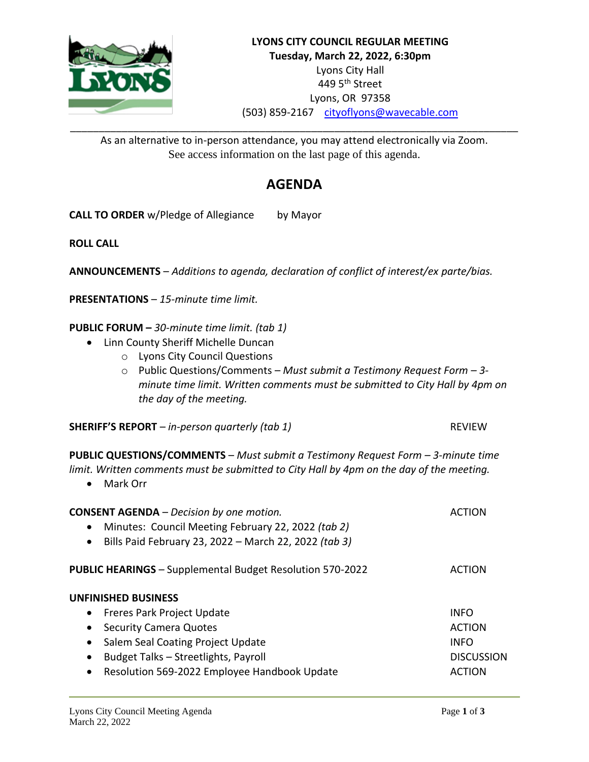

As an alternative to in-person attendance, you may attend electronically via Zoom. See access information on the last page of this agenda.

# **AGENDA**

**CALL TO ORDER** w/Pledge of Allegiance by Mayor

**ROLL CALL**

**ANNOUNCEMENTS** – *Additions to agenda, declaration of conflict of interest/ex parte/bias.*

**PRESENTATIONS** – *15-minute time limit.*

**PUBLIC FORUM –** *30-minute time limit. (tab 1)*

- Linn County Sheriff Michelle Duncan
	- o Lyons City Council Questions
	- o Public Questions/Comments *Must submit a Testimony Request Form – 3 minute time limit. Written comments must be submitted to City Hall by 4pm on the day of the meeting.*

**SHERIFF'S REPORT** – *in-person quarterly (tab 1)* REVIEW

**PUBLIC QUESTIONS/COMMENTS** – *Must submit a Testimony Request Form – 3-minute time limit. Written comments must be submitted to City Hall by 4pm on the day of the meeting.*

• Mark Orr

| <b>CONSENT AGENDA</b> – Decision by one motion.<br>Minutes: Council Meeting February 22, 2022 (tab 2)<br>$\bullet$<br>Bills Paid February 23, 2022 - March 22, 2022 (tab 3)<br>$\bullet$ | ACTION            |
|------------------------------------------------------------------------------------------------------------------------------------------------------------------------------------------|-------------------|
| <b>PUBLIC HEARINGS</b> - Supplemental Budget Resolution 570-2022                                                                                                                         | ACTION            |
| <b>UNFINISHED BUSINESS</b>                                                                                                                                                               |                   |
| Freres Park Project Update<br>$\bullet$                                                                                                                                                  | <b>INFO</b>       |
| <b>Security Camera Quotes</b><br>$\bullet$                                                                                                                                               | <b>ACTION</b>     |
| Salem Seal Coating Project Update<br>$\bullet$                                                                                                                                           | <b>INFO</b>       |
| Budget Talks - Streetlights, Payroll<br>$\bullet$                                                                                                                                        | <b>DISCUSSION</b> |
| Resolution 569-2022 Employee Handbook Update<br>$\bullet$                                                                                                                                | <b>ACTION</b>     |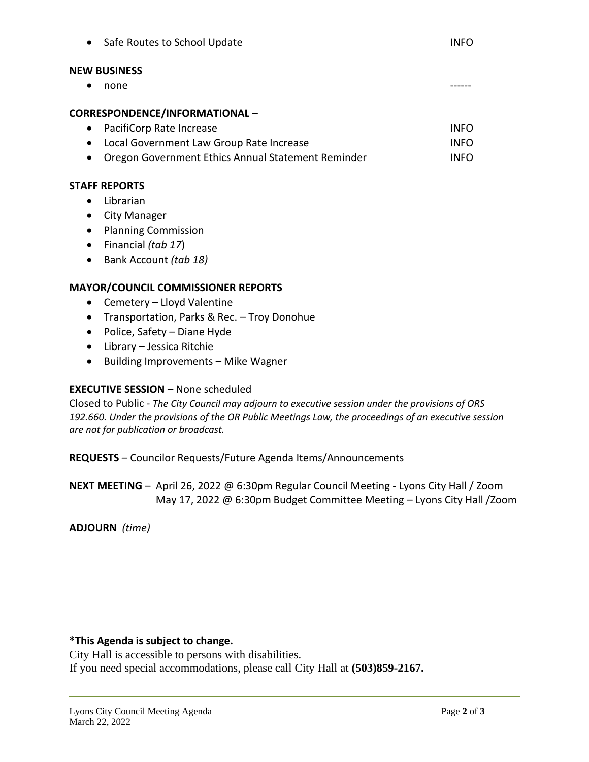| $\bullet$            | Safe Routes to School Update                       | <b>INFO</b> |
|----------------------|----------------------------------------------------|-------------|
| <b>NEW BUSINESS</b>  |                                                    |             |
| none<br>$\bullet$    |                                                    |             |
|                      | CORRESPONDENCE/INFORMATIONAL -                     |             |
| $\bullet$            | PacifiCorp Rate Increase                           | <b>INFO</b> |
|                      | Local Government Law Group Rate Increase           | <b>INFO</b> |
|                      | Oregon Government Ethics Annual Statement Reminder | <b>INFO</b> |
| <b>STAFF REPORTS</b> |                                                    |             |

- Librarian
- City Manager
- Planning Commission
- Financial *(tab 17*)
- Bank Account *(tab 18)*

# **MAYOR/COUNCIL COMMISSIONER REPORTS**

- Cemetery Lloyd Valentine
- Transportation, Parks & Rec. Troy Donohue
- Police, Safety Diane Hyde
- Library Jessica Ritchie
- Building Improvements Mike Wagner

## **EXECUTIVE SESSION** – None scheduled

Closed to Public - *The City Council may adjourn to executive session under the provisions of ORS 192.660. Under the provisions of the OR Public Meetings Law, the proceedings of an executive session are not for publication or broadcast.*

**REQUESTS** – Councilor Requests/Future Agenda Items/Announcements

**NEXT MEETING** – April 26, 2022 @ 6:30pm Regular Council Meeting - Lyons City Hall / Zoom May 17, 2022 @ 6:30pm Budget Committee Meeting – Lyons City Hall /Zoom

**ADJOURN** *(time)*

## **\*This Agenda is subject to change.**

City Hall is accessible to persons with disabilities. If you need special accommodations, please call City Hall at **(503)859-2167.**